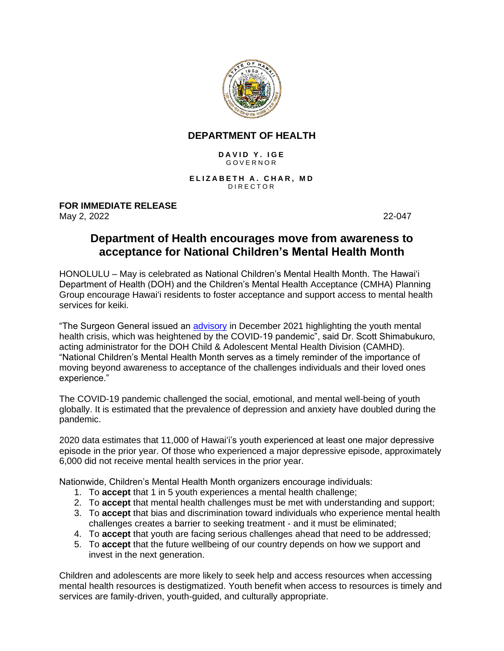

## **DEPARTMENT OF HEALTH**

## **D A V I D Y . I G E** G O V E R N O R

**E L I Z A B E T H A . C H A R , M D** D I R E C T O R

**FOR IMMEDIATE RELEASE** May 2, 2022 22-047

## **Department of Health encourages move from awareness to acceptance for National Children's Mental Health Month**

HONOLULU – May is celebrated as National Children's Mental Health Month. The Hawai'i Department of Health (DOH) and the Children's Mental Health Acceptance (CMHA) Planning Group encourage Hawaiʻi residents to foster acceptance and support access to mental health services for keiki.

"The Surgeon General issued an [advisory](https://www.hhs.gov/about/news/2021/12/07/us-surgeon-general-issues-advisory-on-youth-mental-health-crisis-further-exposed-by-covid-19-pandemic.html) in December 2021 highlighting the youth mental health crisis, which was heightened by the COVID-19 pandemic", said Dr. Scott Shimabukuro, acting administrator for the DOH Child & Adolescent Mental Health Division (CAMHD). "National Children's Mental Health Month serves as a timely reminder of the importance of moving beyond awareness to acceptance of the challenges individuals and their loved ones experience."

The COVID-19 pandemic challenged the social, emotional, and mental well-being of youth globally. It is estimated that the prevalence of depression and anxiety have doubled during the pandemic.

2020 data estimates that 11,000 of Hawaiʻi's youth experienced at least one major depressive episode in the prior year. Of those who experienced a major depressive episode, approximately 6,000 did not receive mental health services in the prior year.

Nationwide, Children's Mental Health Month organizers encourage individuals:

- 1. To **accept** that 1 in 5 youth experiences a mental health challenge;
- 2. To **accept** that mental health challenges must be met with understanding and support;
- 3. To **accept** that bias and discrimination toward individuals who experience mental health challenges creates a barrier to seeking treatment - and it must be eliminated;
- 4. To **accept** that youth are facing serious challenges ahead that need to be addressed;
- 5. To **accept** that the future wellbeing of our country depends on how we support and invest in the next generation.

Children and adolescents are more likely to seek help and access resources when accessing mental health resources is destigmatized. Youth benefit when access to resources is timely and services are family-driven, youth-guided, and culturally appropriate.